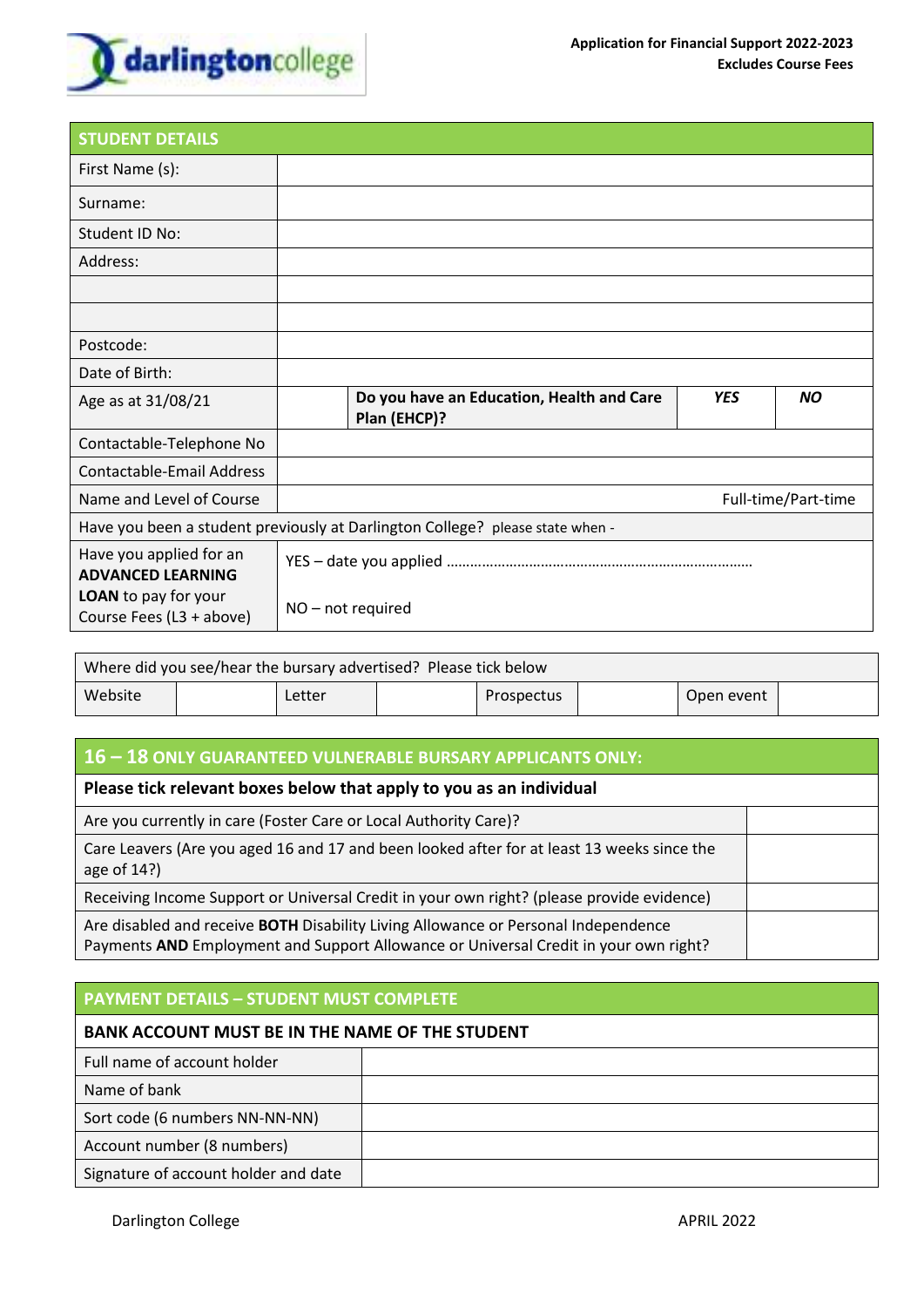

| <b>STUDENT DETAILS</b>                                                        |  |                                                           |            |                     |
|-------------------------------------------------------------------------------|--|-----------------------------------------------------------|------------|---------------------|
| First Name (s):                                                               |  |                                                           |            |                     |
| Surname:                                                                      |  |                                                           |            |                     |
| Student ID No:                                                                |  |                                                           |            |                     |
| Address:                                                                      |  |                                                           |            |                     |
|                                                                               |  |                                                           |            |                     |
|                                                                               |  |                                                           |            |                     |
| Postcode:                                                                     |  |                                                           |            |                     |
| Date of Birth:                                                                |  |                                                           |            |                     |
| Age as at 31/08/21                                                            |  | Do you have an Education, Health and Care<br>Plan (EHCP)? | <b>YES</b> | <b>NO</b>           |
| Contactable-Telephone No                                                      |  |                                                           |            |                     |
| Contactable-Email Address                                                     |  |                                                           |            |                     |
| Name and Level of Course                                                      |  |                                                           |            | Full-time/Part-time |
| Have you been a student previously at Darlington College? please state when - |  |                                                           |            |                     |
| Have you applied for an<br><b>ADVANCED LEARNING</b>                           |  |                                                           |            |                     |
| <b>LOAN</b> to pay for your<br>Course Fees (L3 + above)                       |  | $NO - not required$                                       |            |                     |

| Where did you see/hear the bursary advertised? Please tick below |  |        |  |            |  |            |  |
|------------------------------------------------------------------|--|--------|--|------------|--|------------|--|
| Website                                                          |  | Letter |  | Prospectus |  | Open event |  |

### **16 – 18 ONLY GUARANTEED VULNERABLE BURSARY APPLICANTS ONLY:**

#### **Please tick relevant boxes below that apply to you as an individual**

Are you currently in care (Foster Care or Local Authority Care)?

Care Leavers (Are you aged 16 and 17 and been looked after for at least 13 weeks since the age of 14?)

Receiving Income Support or Universal Credit in your own right? (please provide evidence)

Are disabled and receive **BOTH** Disability Living Allowance or Personal Independence Payments **AND** Employment and Support Allowance or Universal Credit in your own right?

### **PAYMENT DETAILS – STUDENT MUST COMPLETE**

# **BANK ACCOUNT MUST BE IN THE NAME OF THE STUDENT**

| Full name of account holder          |  |
|--------------------------------------|--|
| Name of bank                         |  |
| Sort code (6 numbers NN-NN-NN)       |  |
| Account number (8 numbers)           |  |
| Signature of account holder and date |  |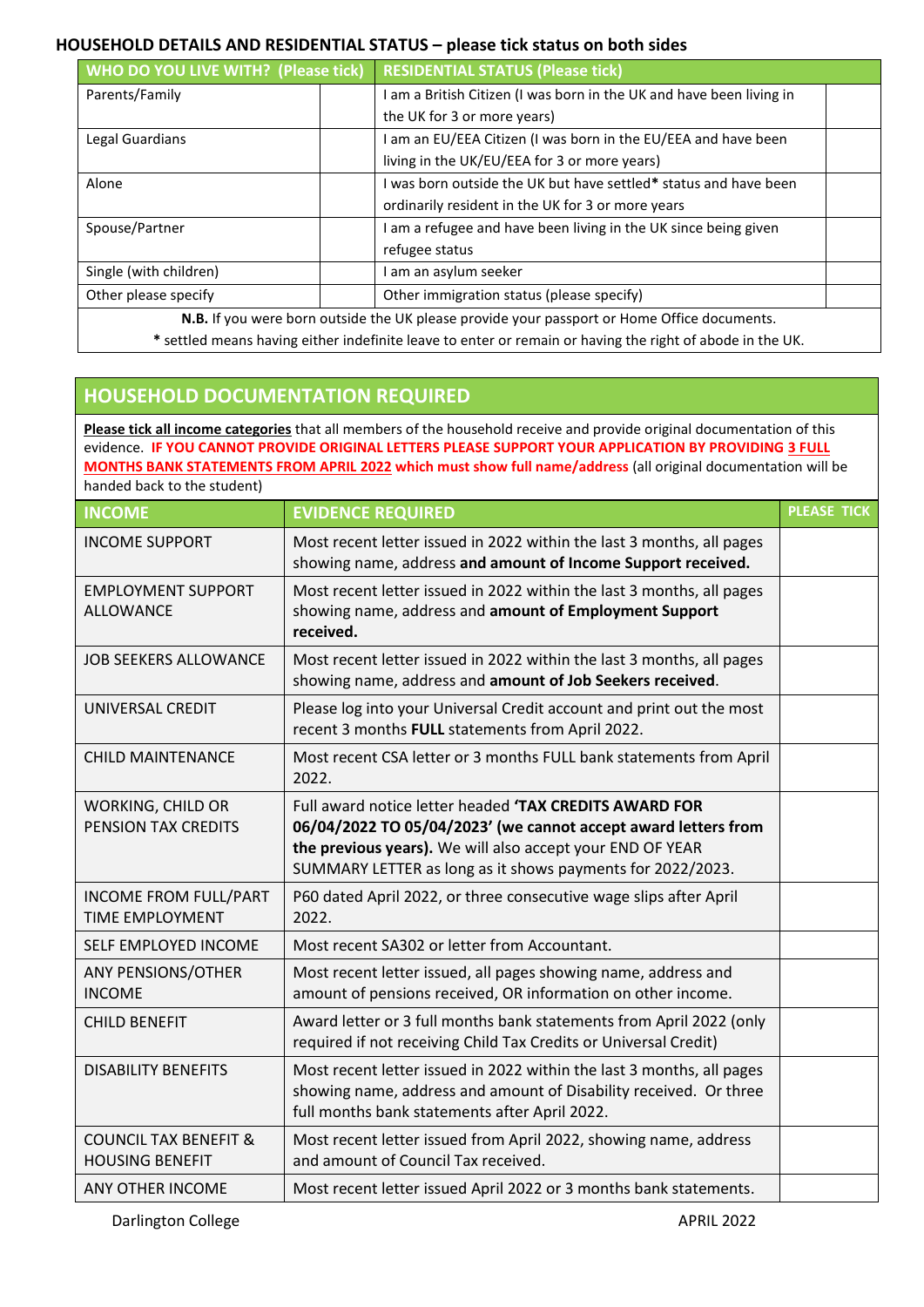### **HOUSEHOLD DETAILS AND RESIDENTIAL STATUS – please tick status on both sides**

| <b>WHO DO YOU LIVE WITH? (Please tick)</b> | <b>RESIDENTIAL STATUS (Please tick)</b>                                                            |  |  |
|--------------------------------------------|----------------------------------------------------------------------------------------------------|--|--|
| Parents/Family                             | I am a British Citizen (I was born in the UK and have been living in                               |  |  |
|                                            | the UK for 3 or more years)                                                                        |  |  |
| Legal Guardians                            | I am an EU/EEA Citizen (I was born in the EU/EEA and have been                                     |  |  |
|                                            | living in the UK/EU/EEA for 3 or more years)                                                       |  |  |
| Alone                                      | I was born outside the UK but have settled* status and have been                                   |  |  |
|                                            | ordinarily resident in the UK for 3 or more years                                                  |  |  |
| Spouse/Partner                             | I am a refugee and have been living in the UK since being given                                    |  |  |
|                                            | refugee status                                                                                     |  |  |
| Single (with children)                     | l am an asylum seeker                                                                              |  |  |
| Other please specify                       | Other immigration status (please specify)                                                          |  |  |
|                                            | <b>N.B.</b> If you were born outside the UK please provide your passport or Home Office documents. |  |  |

**\*** settled means having either indefinite leave to enter or remain or having the right of abode in the UK.

## **HOUSEHOLD DOCUMENTATION REQUIRED**

**Please tick all income categories** that all members of the household receive and provide original documentation of this evidence. **IF YOU CANNOT PROVIDE ORIGINAL LETTERS PLEASE SUPPORT YOUR APPLICATION BY PROVIDING 3 FULL MONTHS BANK STATEMENTS FROM APRIL 2022 which must show full name/address** (all original documentation will be handed back to the student)

| <b>INCOME</b>                                              | <b>EVIDENCE REQUIRED</b>                                                                                                                                                                                                                            | <b>PLEASE TICK</b> |
|------------------------------------------------------------|-----------------------------------------------------------------------------------------------------------------------------------------------------------------------------------------------------------------------------------------------------|--------------------|
| <b>INCOME SUPPORT</b>                                      | Most recent letter issued in 2022 within the last 3 months, all pages<br>showing name, address and amount of Income Support received.                                                                                                               |                    |
| <b>EMPLOYMENT SUPPORT</b><br><b>ALLOWANCE</b>              | Most recent letter issued in 2022 within the last 3 months, all pages<br>showing name, address and amount of Employment Support<br>received.                                                                                                        |                    |
| <b>JOB SEEKERS ALLOWANCE</b>                               | Most recent letter issued in 2022 within the last 3 months, all pages<br>showing name, address and amount of Job Seekers received.                                                                                                                  |                    |
| UNIVERSAL CREDIT                                           | Please log into your Universal Credit account and print out the most<br>recent 3 months FULL statements from April 2022.                                                                                                                            |                    |
| <b>CHILD MAINTENANCE</b>                                   | Most recent CSA letter or 3 months FULL bank statements from April<br>2022.                                                                                                                                                                         |                    |
| WORKING, CHILD OR<br>PENSION TAX CREDITS                   | Full award notice letter headed 'TAX CREDITS AWARD FOR<br>06/04/2022 TO 05/04/2023' (we cannot accept award letters from<br>the previous years). We will also accept your END OF YEAR<br>SUMMARY LETTER as long as it shows payments for 2022/2023. |                    |
| <b>INCOME FROM FULL/PART</b><br><b>TIME EMPLOYMENT</b>     | P60 dated April 2022, or three consecutive wage slips after April<br>2022.                                                                                                                                                                          |                    |
| SELF EMPLOYED INCOME                                       | Most recent SA302 or letter from Accountant.                                                                                                                                                                                                        |                    |
| <b>ANY PENSIONS/OTHER</b><br><b>INCOME</b>                 | Most recent letter issued, all pages showing name, address and<br>amount of pensions received, OR information on other income.                                                                                                                      |                    |
| <b>CHILD BENEFIT</b>                                       | Award letter or 3 full months bank statements from April 2022 (only<br>required if not receiving Child Tax Credits or Universal Credit)                                                                                                             |                    |
| <b>DISABILITY BENEFITS</b>                                 | Most recent letter issued in 2022 within the last 3 months, all pages<br>showing name, address and amount of Disability received. Or three<br>full months bank statements after April 2022.                                                         |                    |
| <b>COUNCIL TAX BENEFIT &amp;</b><br><b>HOUSING BENEFIT</b> | Most recent letter issued from April 2022, showing name, address<br>and amount of Council Tax received.                                                                                                                                             |                    |
| ANY OTHER INCOME                                           | Most recent letter issued April 2022 or 3 months bank statements.                                                                                                                                                                                   |                    |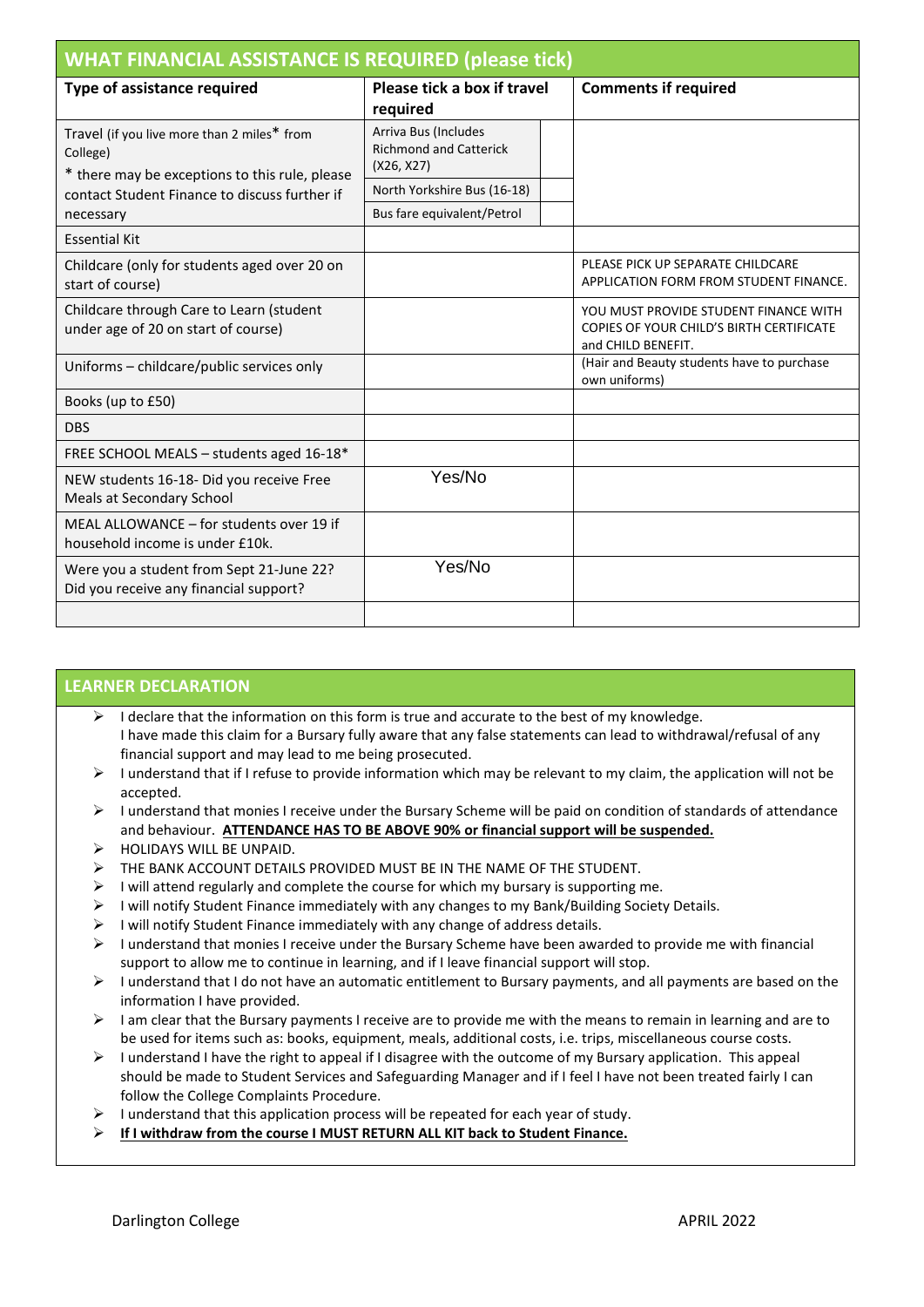| <b>WHAT FINANCIAL ASSISTANCE IS REQUIRED (please tick)</b>                                                |                                                                     |                                                                                                         |  |  |
|-----------------------------------------------------------------------------------------------------------|---------------------------------------------------------------------|---------------------------------------------------------------------------------------------------------|--|--|
| Type of assistance required                                                                               | Please tick a box if travel<br>required                             | <b>Comments if required</b>                                                                             |  |  |
| Travel (if you live more than 2 miles* from<br>College)<br>* there may be exceptions to this rule, please | Arriva Bus (Includes<br><b>Richmond and Catterick</b><br>(X26, X27) |                                                                                                         |  |  |
| contact Student Finance to discuss further if                                                             | North Yorkshire Bus (16-18)                                         |                                                                                                         |  |  |
| necessary                                                                                                 | Bus fare equivalent/Petrol                                          |                                                                                                         |  |  |
| <b>Essential Kit</b>                                                                                      |                                                                     |                                                                                                         |  |  |
| Childcare (only for students aged over 20 on<br>start of course)                                          |                                                                     | PLEASE PICK UP SEPARATE CHILDCARE<br>APPLICATION FORM FROM STUDENT FINANCE.                             |  |  |
| Childcare through Care to Learn (student<br>under age of 20 on start of course)                           |                                                                     | YOU MUST PROVIDE STUDENT FINANCE WITH<br>COPIES OF YOUR CHILD'S BIRTH CERTIFICATE<br>and CHILD BENEFIT. |  |  |
| Uniforms - childcare/public services only                                                                 |                                                                     | (Hair and Beauty students have to purchase<br>own uniforms)                                             |  |  |
| Books (up to £50)                                                                                         |                                                                     |                                                                                                         |  |  |
| <b>DBS</b>                                                                                                |                                                                     |                                                                                                         |  |  |
| FREE SCHOOL MEALS - students aged 16-18*                                                                  |                                                                     |                                                                                                         |  |  |
| NEW students 16-18- Did you receive Free<br>Meals at Secondary School                                     | Yes/No                                                              |                                                                                                         |  |  |
| MEAL ALLOWANCE - for students over 19 if<br>household income is under £10k.                               |                                                                     |                                                                                                         |  |  |
| Were you a student from Sept 21-June 22?<br>Did you receive any financial support?                        | Yes/No                                                              |                                                                                                         |  |  |
|                                                                                                           |                                                                     |                                                                                                         |  |  |

### **LEARNER DECLARATION**

- $\triangleright$  I declare that the information on this form is true and accurate to the best of my knowledge. I have made this claim for a Bursary fully aware that any false statements can lead to withdrawal/refusal of any financial support and may lead to me being prosecuted.
- $\triangleright$  I understand that if I refuse to provide information which may be relevant to my claim, the application will not be accepted.
- ➢ I understand that monies I receive under the Bursary Scheme will be paid on condition of standards of attendance and behaviour. **ATTENDANCE HAS TO BE ABOVE 90% or financial support will be suspended.**
- ➢ HOLIDAYS WILL BE UNPAID.
- ➢ THE BANK ACCOUNT DETAILS PROVIDED MUST BE IN THE NAME OF THE STUDENT.
- $\triangleright$  I will attend regularly and complete the course for which my bursary is supporting me.
- ➢ I will notify Student Finance immediately with any changes to my Bank/Building Society Details.
- ➢ I will notify Student Finance immediately with any change of address details.
- ➢ I understand that monies I receive under the Bursary Scheme have been awarded to provide me with financial support to allow me to continue in learning, and if I leave financial support will stop.
- $\triangleright$  I understand that I do not have an automatic entitlement to Bursary payments, and all payments are based on the information I have provided.
- $\triangleright$  I am clear that the Bursary payments I receive are to provide me with the means to remain in learning and are to be used for items such as: books, equipment, meals, additional costs, i.e. trips, miscellaneous course costs.
- $\triangleright$  I understand I have the right to appeal if I disagree with the outcome of my Bursary application. This appeal should be made to Student Services and Safeguarding Manager and if I feel I have not been treated fairly I can follow the College Complaints Procedure.
- $\triangleright$  I understand that this application process will be repeated for each year of study.
- ➢ **If I withdraw from the course I MUST RETURN ALL KIT back to Student Finance.**